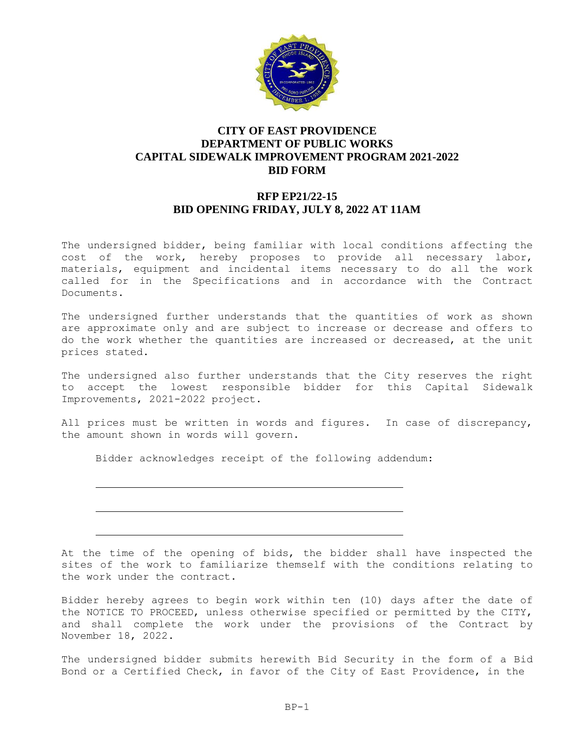

## **CITY OF EAST PROVIDENCE DEPARTMENT OF PUBLIC WORKS CAPITAL SIDEWALK IMPROVEMENT PROGRAM 2021-2022 BID FORM**

## **RFP EP21/22-15 BID OPENING FRIDAY, JULY 8, 2022 AT 11AM**

The undersigned bidder, being familiar with local conditions affecting the cost of the work, hereby proposes to provide all necessary labor, materials, equipment and incidental items necessary to do all the work called for in the Specifications and in accordance with the Contract Documents.

The undersigned further understands that the quantities of work as shown are approximate only and are subject to increase or decrease and offers to do the work whether the quantities are increased or decreased, at the unit prices stated.

The undersigned also further understands that the City reserves the right to accept the lowest responsible bidder for this Capital Sidewalk Improvements, 2021-2022 project.

All prices must be written in words and figures. In case of discrepancy, the amount shown in words will govern.

Bidder acknowledges receipt of the following addendum:

At the time of the opening of bids, the bidder shall have inspected the sites of the work to familiarize themself with the conditions relating to the work under the contract.

Bidder hereby agrees to begin work within ten (10) days after the date of the NOTICE TO PROCEED, unless otherwise specified or permitted by the CITY, and shall complete the work under the provisions of the Contract by November 18, 2022.

The undersigned bidder submits herewith Bid Security in the form of a Bid Bond or a Certified Check, in favor of the City of East Providence, in the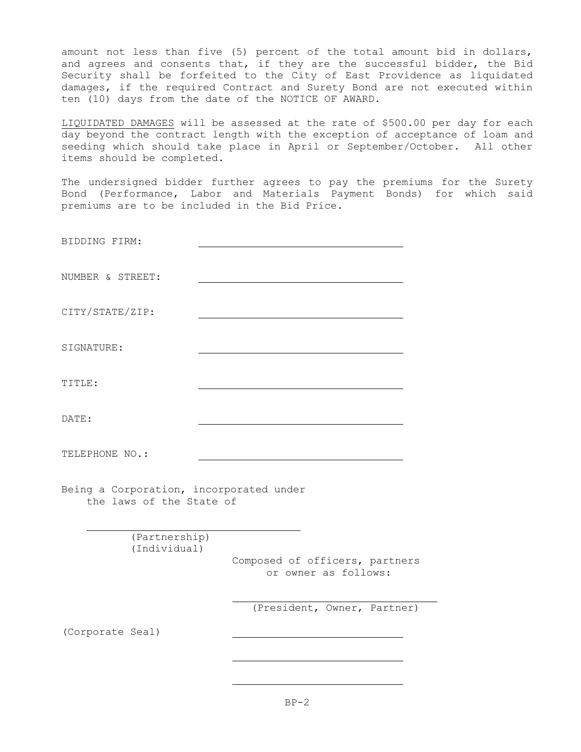amount not less than five (5) percent of the total amount bid in dollars, and agrees and consents that, if they are the successful bidder, the Bid Security shall be forfeited to the City of East Providence as liquidated damages, if the required Contract and Surety Bond are not executed within ten (10) days from the date of the NOTICE OF AWARD.

LIQUIDATED DAMAGES will be assessed at the rate of \$500.00 per day for each day beyond the contract length with the exception of acceptance of loam and seeding which should take place in April or September/October. All other items should be completed.

The undersigned bidder further agrees to pay the premiums for the Surety Bond (Performance, Labor and Materials Payment Bonds) for which said premiums are to be included in the Bid Price.

| BIDDING FIRM:                                                       |                                                        |
|---------------------------------------------------------------------|--------------------------------------------------------|
| NUMBER & STREET:                                                    |                                                        |
| CITY/STATE/ZIP:                                                     |                                                        |
| SIGNATURE:                                                          |                                                        |
| TITLE:                                                              |                                                        |
| DATE:                                                               |                                                        |
| TELEPHONE NO.:                                                      |                                                        |
| Being a Corporation, incorporated under<br>the laws of the State of |                                                        |
| (Partnership)                                                       |                                                        |
| (Individual)                                                        | Composed of officers, partners<br>or owner as follows: |
|                                                                     | (President, Owner, Partner)                            |
| (Corporate Seal)                                                    |                                                        |
|                                                                     |                                                        |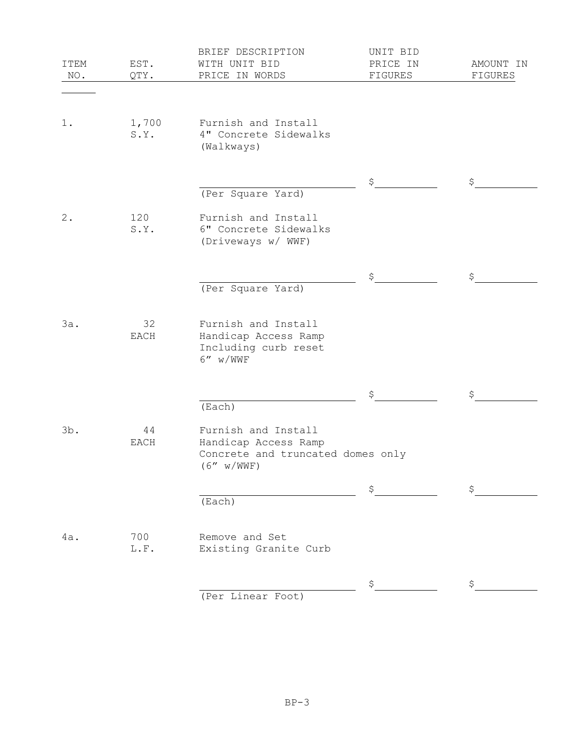| ITEM<br>NO. | EST.<br>QTY.  | BRIEF DESCRIPTION<br>WITH UNIT BID<br>PRICE IN WORDS                                            | UNIT BID<br>PRICE IN<br>FIGURES | AMOUNT IN<br>FIGURES |
|-------------|---------------|-------------------------------------------------------------------------------------------------|---------------------------------|----------------------|
|             |               |                                                                                                 |                                 |                      |
| 1.          | 1,700<br>S.Y. | Furnish and Install<br>4" Concrete Sidewalks<br>(Walkways)                                      |                                 |                      |
|             |               |                                                                                                 | \$                              | \$                   |
|             |               | (Per Square Yard)                                                                               |                                 |                      |
| 2.          | 120<br>S.Y.   | Furnish and Install<br>6" Concrete Sidewalks<br>(Driveways w/ WWF)                              |                                 |                      |
|             |               |                                                                                                 | \$                              | \$                   |
|             |               | (Per Square Yard)                                                                               |                                 |                      |
| 3a.         | 32<br>EACH    | Furnish and Install<br>Handicap Access Ramp<br>Including curb reset<br>$6''$ w/WWF              |                                 |                      |
|             |               |                                                                                                 | \$                              | \$.                  |
|             |               | (Each)                                                                                          |                                 |                      |
| 3b.         | 44<br>EACH    | Furnish and Install<br>Handicap Access Ramp<br>Concrete and truncated domes only<br>(6'' w/WWF) |                                 |                      |
|             |               |                                                                                                 | \$                              | \$                   |
|             |               | (Each)                                                                                          |                                 |                      |
| 4a.         | 700<br>L.F.   | Remove and Set<br>Existing Granite Curb                                                         |                                 |                      |
|             |               |                                                                                                 | \$                              | \$                   |
|             |               | (Per Linear Foot)                                                                               |                                 |                      |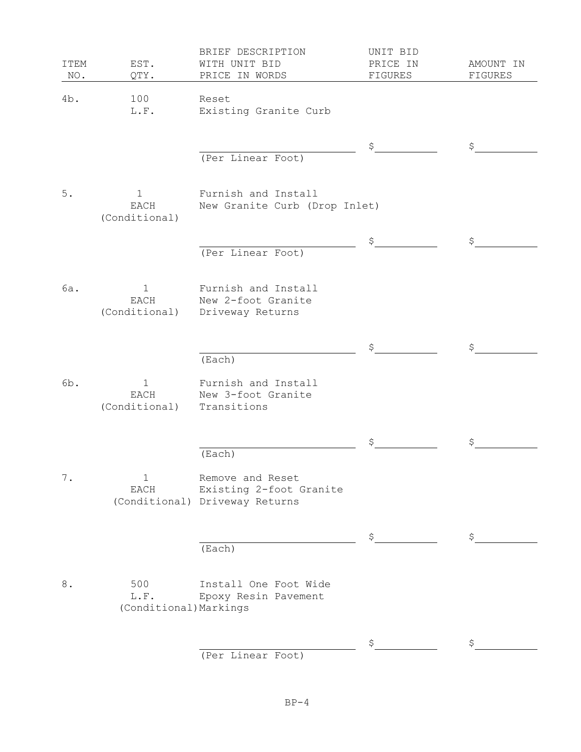| <b>ITEM</b><br>NO. | EST.<br>QTY.                          | BRIEF DESCRIPTION<br>WITH UNIT BID<br>PRICE IN WORDS                          | UNIT BID<br>PRICE IN<br>FIGURES | AMOUNT IN<br>FIGURES |
|--------------------|---------------------------------------|-------------------------------------------------------------------------------|---------------------------------|----------------------|
| 4b.                | 100<br>L.F.                           | Reset<br>Existing Granite Curb                                                |                                 |                      |
|                    |                                       | (Per Linear Foot)                                                             | \$                              | \$                   |
| $5.$               | $\mathbf 1$<br>EACH<br>(Conditional)  | Furnish and Install<br>New Granite Curb (Drop Inlet)                          |                                 |                      |
|                    |                                       | (Per Linear Foot)                                                             | \$                              | \$                   |
| 6a.                | $\mathbf 1$<br>EACH<br>(Conditional)  | Furnish and Install<br>New 2-foot Granite<br>Driveway Returns                 |                                 |                      |
|                    |                                       | (Each)                                                                        | \$                              | \$                   |
| 6b.                | $\mathbf{1}$<br>EACH<br>(Conditional) | Furnish and Install<br>New 3-foot Granite<br>Transitions                      |                                 |                      |
|                    |                                       | (Each)                                                                        | \$                              |                      |
| $\mathbf 7$ .      | $\mathbf 1$<br>$_{\rm EACH}$          | Remove and Reset<br>Existing 2-foot Granite<br>(Conditional) Driveway Returns |                                 |                      |
|                    |                                       | (Each)                                                                        | \$                              | \$                   |
| $\,8$ .            | 500<br>L.F.<br>(Conditional) Markings | Install One Foot Wide<br>Epoxy Resin Pavement                                 |                                 |                      |
|                    |                                       | (Per Linear Foot)                                                             | \$                              | S                    |